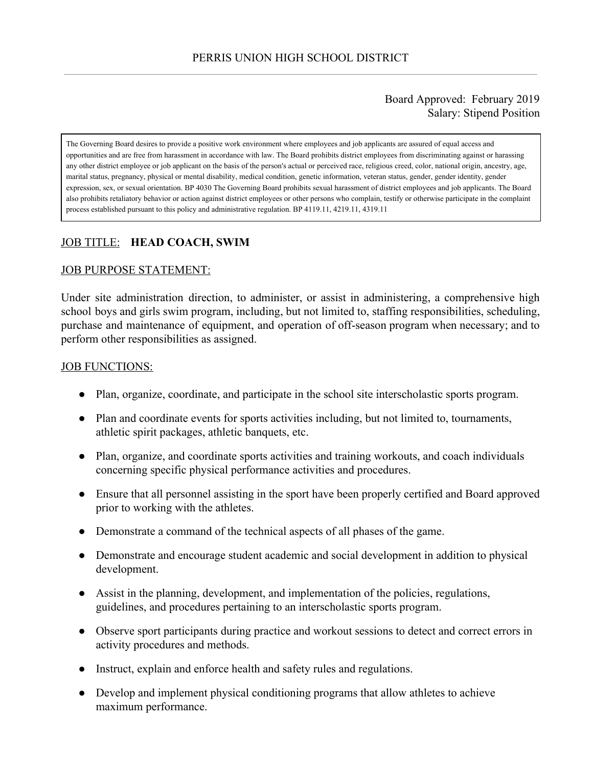#### Board Approved: February 2019 Salary: Stipend Position

The Governing Board desires to provide a positive work environment where employees and job applicants are assured of equal access and opportunities and are free from harassment in accordance with law. The Board prohibits district employees from discriminating against or harassing any other district employee or job applicant on the basis of the person's actual or perceived race, religious creed, color, national origin, ancestry, age, marital status, pregnancy, physical or mental disability, medical condition, genetic information, veteran status, gender, gender identity, gender expression, sex, or sexual orientation. BP 4030 The Governing Board prohibits sexual harassment of district employees and job applicants. The Board also prohibits retaliatory behavior or action against district employees or other persons who complain, testify or otherwise participate in the complaint process established pursuant to this policy and administrative regulation. BP 4119.11, 4219.11, 4319.11

# JOB TITLE: **HEAD COACH, SWIM**

#### JOB PURPOSE STATEMENT:

Under site administration direction, to administer, or assist in administering, a comprehensive high school boys and girls swim program, including, but not limited to, staffing responsibilities, scheduling, purchase and maintenance of equipment, and operation of off-season program when necessary; and to perform other responsibilities as assigned.

#### JOB FUNCTIONS:

- Plan, organize, coordinate, and participate in the school site interscholastic sports program.
- Plan and coordinate events for sports activities including, but not limited to, tournaments, athletic spirit packages, athletic banquets, etc.
- Plan, organize, and coordinate sports activities and training workouts, and coach individuals concerning specific physical performance activities and procedures.
- Ensure that all personnel assisting in the sport have been properly certified and Board approved prior to working with the athletes.
- Demonstrate a command of the technical aspects of all phases of the game.
- Demonstrate and encourage student academic and social development in addition to physical development.
- Assist in the planning, development, and implementation of the policies, regulations, guidelines, and procedures pertaining to an interscholastic sports program.
- Observe sport participants during practice and workout sessions to detect and correct errors in activity procedures and methods.
- Instruct, explain and enforce health and safety rules and regulations.
- Develop and implement physical conditioning programs that allow athletes to achieve maximum performance.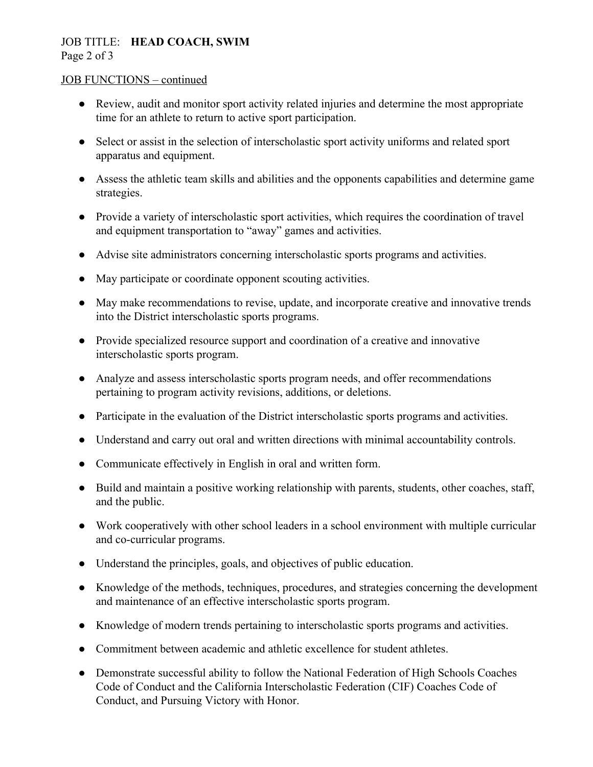#### JOB TITLE: **HEAD COACH, SWIM** Page 2 of 3

#### JOB FUNCTIONS – continued

- Review, audit and monitor sport activity related injuries and determine the most appropriate time for an athlete to return to active sport participation.
- Select or assist in the selection of interscholastic sport activity uniforms and related sport apparatus and equipment.
- Assess the athletic team skills and abilities and the opponents capabilities and determine game strategies.
- Provide a variety of interscholastic sport activities, which requires the coordination of travel and equipment transportation to "away" games and activities.
- Advise site administrators concerning interscholastic sports programs and activities.
- May participate or coordinate opponent scouting activities.
- May make recommendations to revise, update, and incorporate creative and innovative trends into the District interscholastic sports programs.
- Provide specialized resource support and coordination of a creative and innovative interscholastic sports program.
- Analyze and assess interscholastic sports program needs, and offer recommendations pertaining to program activity revisions, additions, or deletions.
- Participate in the evaluation of the District interscholastic sports programs and activities.
- Understand and carry out oral and written directions with minimal accountability controls.
- Communicate effectively in English in oral and written form.
- Build and maintain a positive working relationship with parents, students, other coaches, staff, and the public.
- Work cooperatively with other school leaders in a school environment with multiple curricular and co-curricular programs.
- Understand the principles, goals, and objectives of public education.
- Knowledge of the methods, techniques, procedures, and strategies concerning the development and maintenance of an effective interscholastic sports program.
- Knowledge of modern trends pertaining to interscholastic sports programs and activities.
- Commitment between academic and athletic excellence for student athletes.
- Demonstrate successful ability to follow the National Federation of High Schools Coaches Code of Conduct and the California Interscholastic Federation (CIF) Coaches Code of Conduct, and Pursuing Victory with Honor.